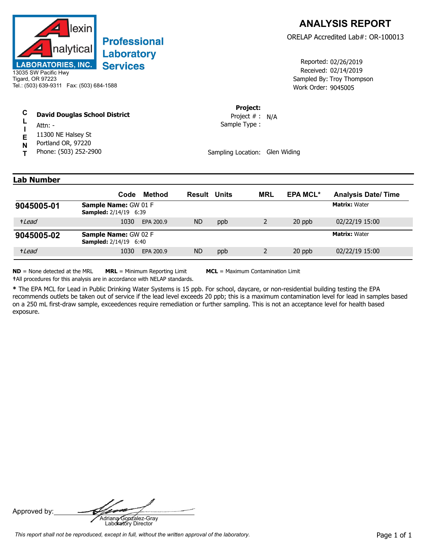

## **Professional** Laboratory **Services**

13035 SW Pacific Hwy Tigard, OR 97223 Tel.: (503) 639-9311 Fax: (503) 684-1588

| C | <b>David Douglas School District</b> |  |
|---|--------------------------------------|--|
|   |                                      |  |

- **L I** Attn: -
- **E** 11300 NE Halsey St
- **N** Portland OR, 97220
- **T** Phone: (503) 252-2900

Received: 02/14/2019 Work Order: 9045005 Reported: 02/26/2019 Sampled By: Troy Thompson

**Project:**

Sample Type : Project # : N/A

Sampling Location: Glen Widing

| Lab Number |  |
|------------|--|
|            |  |

|            | Method<br>Code                                              | <b>Result Units</b> | <b>MRL</b> | <b>EPA MCL*</b> | <b>Analysis Date/Time</b> |
|------------|-------------------------------------------------------------|---------------------|------------|-----------------|---------------------------|
| 9045005-01 | <b>Sample Name: GW 01 F</b><br><b>Sampled:</b> 2/14/19 6:39 |                     |            |                 | <b>Matrix: Water</b>      |
| +Lead      | 1030<br>EPA 200.9                                           | <b>ND</b><br>ppb    |            | 20 ppb          | 02/22/19 15:00            |
| 9045005-02 | Sample Name: GW 02 F<br><b>Sampled:</b> 2/14/19 6:40        |                     |            |                 | <b>Matrix: Water</b>      |
| +Lead      | 1030<br>EPA 200.9                                           | ND<br>ppb           |            | 20 ppb          | 02/22/19 15:00            |

**ND** = None detected at the MRL **MRL** = Minimum Reporting Limit **MCL** = Maximum Contamination Limit

**†**All procedures for this analysis are in accordance with NELAP standards.

**\*** The EPA MCL for Lead in Public Drinking Water Systems is 15 ppb. For school, daycare, or non-residential building testing the EPA recommends outlets be taken out of service if the lead level exceeds 20 ppb; this is a maximum contamination level for lead in samples based on a 250 mL first-draw sample, exceedences require remediation or further sampling. This is not an acceptance level for health based exposure.

Approved by: **Adriana Gonzalez-Gray**<br>Adriana Gonzalez-Gray<br>Laboratory Director